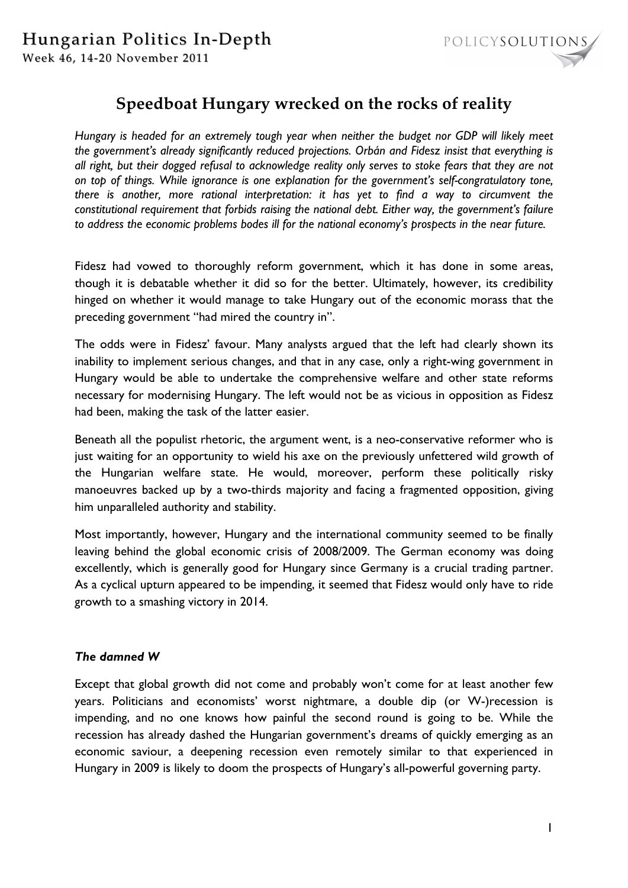

## **Speedboat Hungary wrecked on the rocks of reality**

*Hungary is headed for an extremely tough year when neither the budget nor GDP will likely meet the government's already significantly reduced projections. Orbán and Fidesz insist that everything is all right, but their dogged refusal to acknowledge reality only serves to stoke fears that they are not on top of things. While ignorance is one explanation for the government's self-congratulatory tone, there is another, more rational interpretation: it has yet to find a way to circumvent the constitutional requirement that forbids raising the national debt. Either way, the government's failure to address the economic problems bodes ill for the national economy's prospects in the near future.* 

Fidesz had vowed to thoroughly reform government, which it has done in some areas, though it is debatable whether it did so for the better. Ultimately, however, its credibility hinged on whether it would manage to take Hungary out of the economic morass that the preceding government "had mired the country in".

The odds were in Fidesz' favour. Many analysts argued that the left had clearly shown its inability to implement serious changes, and that in any case, only a right-wing government in Hungary would be able to undertake the comprehensive welfare and other state reforms necessary for modernising Hungary. The left would not be as vicious in opposition as Fidesz had been, making the task of the latter easier.

Beneath all the populist rhetoric, the argument went, is a neo-conservative reformer who is just waiting for an opportunity to wield his axe on the previously unfettered wild growth of the Hungarian welfare state. He would, moreover, perform these politically risky manoeuvres backed up by a two-thirds majority and facing a fragmented opposition, giving him unparalleled authority and stability.

Most importantly, however, Hungary and the international community seemed to be finally leaving behind the global economic crisis of 2008/2009. The German economy was doing excellently, which is generally good for Hungary since Germany is a crucial trading partner. As a cyclical upturn appeared to be impending, it seemed that Fidesz would only have to ride growth to a smashing victory in 2014.

## *The damned W*

Except that global growth did not come and probably won't come for at least another few years. Politicians and economists' worst nightmare, a double dip (or W-)recession is impending, and no one knows how painful the second round is going to be. While the recession has already dashed the Hungarian government's dreams of quickly emerging as an economic saviour, a deepening recession even remotely similar to that experienced in Hungary in 2009 is likely to doom the prospects of Hungary's all-powerful governing party.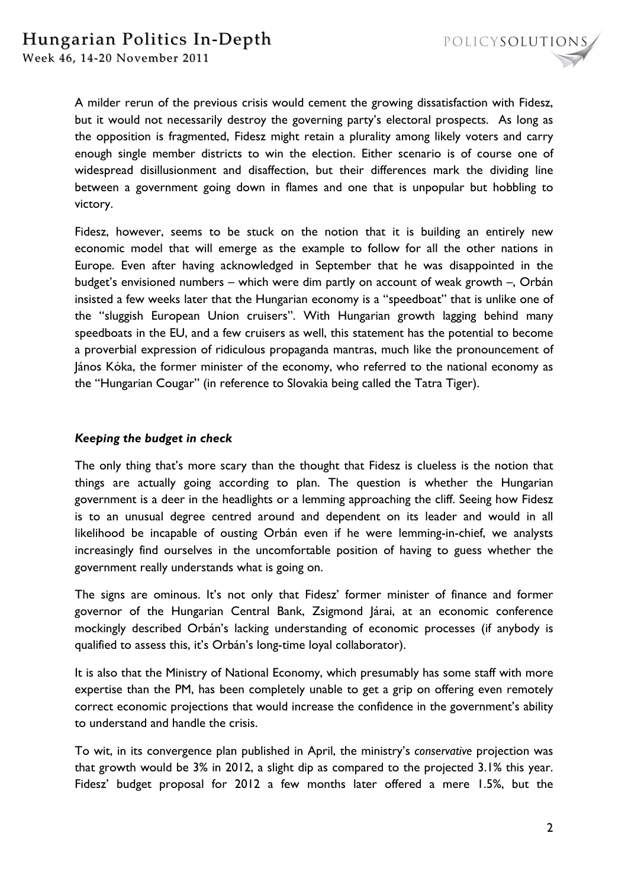

A milder rerun of the previous crisis would cement the growing dissatisfaction with Fidesz, but it would not necessarily destroy the governing party's electoral prospects. As long as the opposition is fragmented, Fidesz might retain a plurality among likely voters and carry enough single member districts to win the election. Either scenario is of course one of widespread disillusionment and disaffection, but their differences mark the dividing line between a government going down in flames and one that is unpopular but hobbling to victory.

Fidesz, however, seems to be stuck on the notion that it is building an entirely new economic model that will emerge as the example to follow for all the other nations in Europe. Even after having acknowledged in September that he was disappointed in the budget's envisioned numbers – which were dim partly on account of weak growth –, Orbán insisted a few weeks later that the Hungarian economy is a "speedboat" that is unlike one of the "sluggish European Union cruisers". With Hungarian growth lagging behind many speedboats in the EU, and a few cruisers as well, this statement has the potential to become a proverbial expression of ridiculous propaganda mantras, much like the pronouncement of János Kóka, the former minister of the economy, who referred to the national economy as the "Hungarian Cougar" (in reference to Slovakia being called the Tatra Tiger).

## *Keeping the budget in check*

The only thing that's more scary than the thought that Fidesz is clueless is the notion that things are actually going according to plan. The question is whether the Hungarian government is a deer in the headlights or a lemming approaching the cliff. Seeing how Fidesz is to an unusual degree centred around and dependent on its leader and would in all likelihood be incapable of ousting Orbán even if he were lemming-in-chief, we analysts increasingly find ourselves in the uncomfortable position of having to guess whether the government really understands what is going on.

The signs are ominous. It's not only that Fidesz' former minister of finance and former governor of the Hungarian Central Bank, Zsigmond Járai, at an economic conference mockingly described Orbán's lacking understanding of economic processes (if anybody is qualified to assess this, it's Orbán's long-time loyal collaborator).

It is also that the Ministry of National Economy, which presumably has some staff with more expertise than the PM, has been completely unable to get a grip on offering even remotely correct economic projections that would increase the confidence in the government's ability to understand and handle the crisis.

To wit, in its convergence plan published in April, the ministry's *conservative* projection was that growth would be 3% in 2012, a slight dip as compared to the projected 3.1% this year. Fidesz' budget proposal for 2012 a few months later offered a mere 1.5%, but the